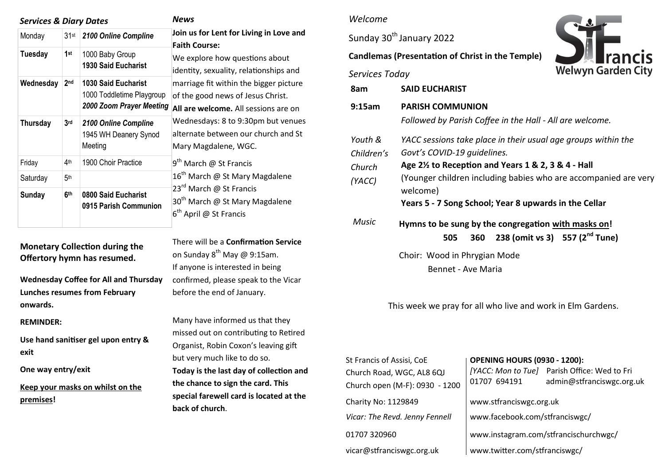| <b>Services &amp; Diary Dates</b> |                 |                                                                                     | <b>News</b>                                                                                                                                                                                     |
|-----------------------------------|-----------------|-------------------------------------------------------------------------------------|-------------------------------------------------------------------------------------------------------------------------------------------------------------------------------------------------|
| Monday                            | $31$ st         | 2100 Online Compline                                                                | Join us for Lent for Living in Love and<br><b>Faith Course:</b>                                                                                                                                 |
| <b>Tuesday</b>                    | 1st             | 1000 Baby Group<br><b>1930 Said Eucharist</b>                                       | We explore how questions about<br>identity, sexuality, relationships and<br>marriage fit within the bigger picture<br>of the good news of Jesus Christ.<br>All are welcome. All sessions are on |
| Wednesday                         | 2 <sub>nd</sub> | <b>1030 Said Eucharist</b><br>1000 Toddletime Playgroup<br>2000 Zoom Prayer Meeting |                                                                                                                                                                                                 |
| <b>Thursday</b>                   | 3 <sub>rd</sub> | 2100 Online Compline<br>1945 WH Deanery Synod<br>Meeting                            | Wednesdays: 8 to 9:30pm but venues<br>alternate between our church and St<br>Mary Magdalene, WGC.                                                                                               |
| Friday                            | 4 <sup>th</sup> | 1900 Choir Practice                                                                 | 9 <sup>th</sup> March @ St Francis                                                                                                                                                              |
| Saturday                          | 5 <sup>th</sup> |                                                                                     | 16 <sup>th</sup> March @ St Mary Magdalene                                                                                                                                                      |
| <b>Sunday</b>                     | 6 <sup>th</sup> | 0800 Said Eucharist<br>0915 Parish Communion                                        | 23 <sup>rd</sup> March @ St Francis<br>30 <sup>th</sup> March @ St Mary Magdalene<br>6 <sup>th</sup> April @ St Francis                                                                         |

**Monetary Collection during the Offertory hymn has resumed.**

**Wednesday Coffee for All and Thursday Lunches resumes from February onwards.**

#### **REMINDER:**

**Use hand sanitiser gel upon entry & exit**

**One way entry/exit**

**Keep your masks on whilst on the premises!** 

There will be a **Confirmation Service**  on Sunday  $8^{th}$  May @ 9:15am. If anyone is interested in being confirmed, please speak to the Vicar before the end of January.

Many have informed us that they missed out on contributing to Retired Organist, Robin Coxon's leaving gift but very much like to do so. **Today is the last day of collection and the chance to sign the card. This special farewell card is located at the back of church**.

### *Welcome*

Sunday 30<sup>th</sup> January 2022

#### **Candlemas (Presentation of Christ in the Temple)**



*Services Today* **8am SAID EUCHARIST**

|            | JAID LUCHAINJI                                                              |  |  |  |
|------------|-----------------------------------------------------------------------------|--|--|--|
| 9:15am     | <b>PARISH COMMUNION</b>                                                     |  |  |  |
|            | Followed by Parish Coffee in the Hall - All are welcome.                    |  |  |  |
| Youth &    | YACC sessions take place in their usual age groups within the               |  |  |  |
| Children's | Govt's COVID-19 quidelines.                                                 |  |  |  |
| Church     | Age 2% to Reception and Years 1 & 2, 3 & 4 - Hall                           |  |  |  |
| (YACC)     | (Younger children including babies who are accompanied are very<br>welcome) |  |  |  |
|            | Years 5 - 7 Song School; Year 8 upwards in the Cellar                       |  |  |  |
| Music      | Hymns to be sung by the congregation with masks on!                         |  |  |  |
|            | 360 238 (omit vs 3) 557 ( $2^{nd}$ Tune)<br>505                             |  |  |  |
|            | Choir: Wood in Phrygian Mode                                                |  |  |  |

Choir: Wood in Phrygian Mode Bennet - Ave Maria

This week we pray for all who live and work in Elm Gardens.

St Francis of Assisi, CoE Church Road, WGC, AL8 6QJ Church open (M-F): 0930 - 1200 **OPENING HOURS (0930 - 1200):**  *[YACC: Mon to Tue]* Parish Office: Wed to Fri 01707 694191 admin@stfranciswgc.org.uk Charity No: 1129849 [www.stfranciswgc.org.uk](http://www.stfranciswgc.org.uk)  *Vicar: The Revd. Jenny Fennell* [www.facebook.com/stfranciswgc/](http://www.facebook.com/stfranciswgc) 01707 320960 www.instagram.com/stfrancischurchwgc/ vicar@stfranciswgc.org.uk www.twitter.com/stfranciswgc/